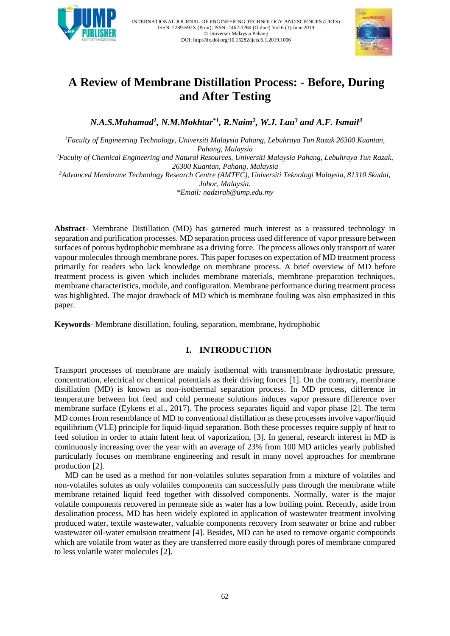



# **A Review of Membrane Distillation Process: - Before, During and After Testing**

*N.A.S.Muhamad<sup>1</sup> , N.M.Mokhtar\*1 , R.Naim<sup>2</sup> , W.J. Lau<sup>3</sup> and A.F. Ismail<sup>3</sup>*

*<sup>1</sup>Faculty of Engineering Technology, Universiti Malaysia Pahang, Lebuhraya Tun Razak 26300 Kuantan, Pahang, Malaysia*

*<sup>2</sup>Faculty of Chemical Engineering and Natural Resources, Universiti Malaysia Pahang, Lebuhraya Tun Razak, 26300 Kuantan, Pahang, Malaysia*

*<sup>3</sup>Advanced Membrane Technology Research Centre (AMTEC), Universiti Teknologi Malaysia, 81310 Skudai, Johor, Malaysia. \*Email[: nadzirah@ump.edu.my](mailto:nadzirah@ump.edu.my)*

**Abstract**- Membrane Distillation (MD) has garnered much interest as a reassured technology in separation and purification processes. MD separation process used difference of vapor pressure between surfaces of porous hydrophobic membrane as a driving force. The process allows only transport of water vapour molecules through membrane pores. This paper focuses on expectation of MD treatment process primarily for readers who lack knowledge on membrane process. A brief overview of MD before treatment process is given which includes membrane materials, membrane preparation techniques, membrane characteristics, module, and configuration. Membrane performance during treatment process was highlighted. The major drawback of MD which is membrane fouling was also emphasized in this paper.

**Keywords**- Membrane distillation, fouling, separation, membrane, hydrophobic

# **I. INTRODUCTION**

Transport processes of membrane are mainly isothermal with transmembrane hydrostatic pressure, concentration, electrical or chemical potentials as their driving forces [1]. On the contrary, membrane distillation (MD) is known as non-isothermal separation process. In MD process, difference in temperature between hot feed and cold permeate solutions induces vapor pressure difference over membrane surface (Eykens et al., 2017). The process separates liquid and vapor phase [2]. The term MD comes from resemblance of MD to conventional distillation as these processes involve vapor/liquid equilibrium (VLE) principle for liquid-liquid separation. Both these processes require supply of heat to feed solution in order to attain latent heat of vaporization, [3]. In general, research interest in MD is continuously increasing over the year with an average of 23% from 100 MD articles yearly published particularly focuses on membrane engineering and result in many novel approaches for membrane production [2].

MD can be used as a method for non-volatiles solutes separation from a mixture of volatiles and non-volatiles solutes as only volatiles components can successfully pass through the membrane while membrane retained liquid feed together with dissolved components. Normally, water is the major volatile components recovered in permeate side as water has a low boiling point. Recently, aside from desalination process, MD has been widely explored in application of wastewater treatment involving produced water, textile wastewater, valuable components recovery from seawater or brine and rubber wastewater oil-water emulsion treatment [4]. Besides, MD can be used to remove organic compounds which are volatile from water as they are transferred more easily through pores of membrane compared to less volatile water molecules [2].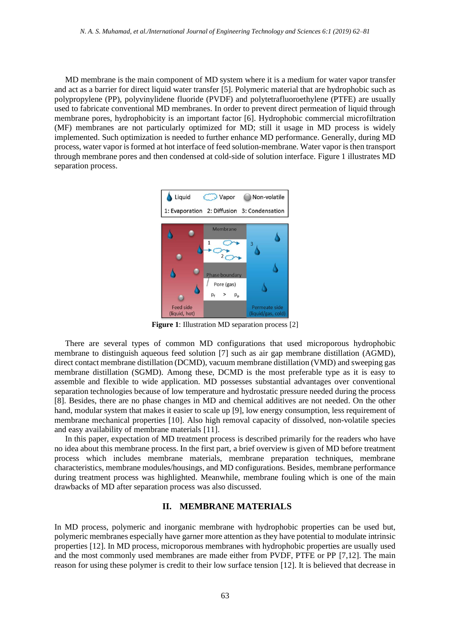MD membrane is the main component of MD system where it is a medium for water vapor transfer and act as a barrier for direct liquid water transfer [5]. Polymeric material that are hydrophobic such as polypropylene (PP), polyvinylidene fluoride (PVDF) and polytetrafluoroethylene (PTFE) are usually used to fabricate conventional MD membranes. In order to prevent direct permeation of liquid through membrane pores, hydrophobicity is an important factor [6]. Hydrophobic commercial microfiltration (MF) membranes are not particularly optimized for MD; still it usage in MD process is widely implemented. Such optimization is needed to further enhance MD performance. Generally, during MD process, water vapor is formed at hot interface of feed solution-membrane. Water vapor is then transport through membrane pores and then condensed at cold-side of solution interface. Figure 1 illustrates MD separation process.



**Figure 1**: Illustration MD separation process [2]

There are several types of common MD configurations that used microporous hydrophobic membrane to distinguish aqueous feed solution [7] such as air gap membrane distillation (AGMD), direct contact membrane distillation (DCMD), vacuum membrane distillation (VMD) and sweeping gas membrane distillation (SGMD). Among these, DCMD is the most preferable type as it is easy to assemble and flexible to wide application. MD possesses substantial advantages over conventional separation technologies because of low temperature and hydrostatic pressure needed during the process [8]. Besides, there are no phase changes in MD and chemical additives are not needed. On the other hand, modular system that makes it easier to scale up [9], low energy consumption, less requirement of membrane mechanical properties [10]. Also high removal capacity of dissolved, non-volatile species and easy availability of membrane materials [11].

In this paper, expectation of MD treatment process is described primarily for the readers who have no idea about this membrane process. In the first part, a brief overview is given of MD before treatment process which includes membrane materials, membrane preparation techniques, membrane characteristics, membrane modules/housings, and MD configurations. Besides, membrane performance during treatment process was highlighted. Meanwhile, membrane fouling which is one of the main drawbacks of MD after separation process was also discussed.

#### **II. MEMBRANE MATERIALS**

In MD process, polymeric and inorganic membrane with hydrophobic properties can be used but, polymeric membranes especially have garner more attention as they have potential to modulate intrinsic properties [12]. In MD process, microporous membranes with hydrophobic properties are usually used and the most commonly used membranes are made either from PVDF, PTFE or PP [7,12]. The main reason for using these polymer is credit to their low surface tension [12]. It is believed that decrease in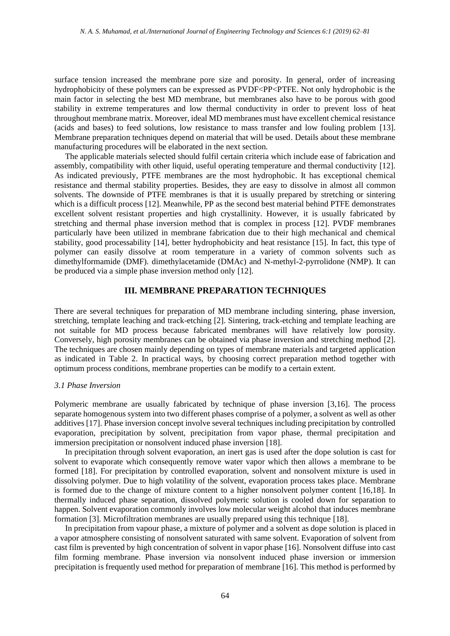surface tension increased the membrane pore size and porosity. In general, order of increasing hydrophobicity of these polymers can be expressed as PVDF<PP<PTFE. Not only hydrophobic is the main factor in selecting the best MD membrane, but membranes also have to be porous with good stability in extreme temperatures and low thermal conductivity in order to prevent loss of heat throughout membrane matrix. Moreover, ideal MD membranes must have excellent chemical resistance (acids and bases) to feed solutions, low resistance to mass transfer and low fouling problem [13]. Membrane preparation techniques depend on material that will be used. Details about these membrane manufacturing procedures will be elaborated in the next section.

The applicable materials selected should fulfil certain criteria which include ease of fabrication and assembly, compatibility with other liquid, useful operating temperature and thermal conductivity [12]. As indicated previously, PTFE membranes are the most hydrophobic. It has exceptional chemical resistance and thermal stability properties. Besides, they are easy to dissolve in almost all common solvents. The downside of PTFE membranes is that it is usually prepared by stretching or sintering which is a difficult process [12]. Meanwhile, PP as the second best material behind PTFE demonstrates excellent solvent resistant properties and high crystallinity. However, it is usually fabricated by stretching and thermal phase inversion method that is complex in process [12]. PVDF membranes particularly have been utilized in membrane fabrication due to their high mechanical and chemical stability, good processability [14], better hydrophobicity and heat resistance [15]. In fact, this type of polymer can easily dissolve at room temperature in a variety of common solvents such as dimethylformamide (DMF). dimethylacetamide (DMAc) and N-methyl-2-pyrrolidone (NMP). It can be produced via a simple phase inversion method only [12].

#### **III. MEMBRANE PREPARATION TECHNIQUES**

There are several techniques for preparation of MD membrane including sintering, phase inversion, stretching, template leaching and track-etching [2]. Sintering, track-etching and template leaching are not suitable for MD process because fabricated membranes will have relatively low porosity. Conversely, high porosity membranes can be obtained via phase inversion and stretching method [2]. The techniques are chosen mainly depending on types of membrane materials and targeted application as indicated in Table 2. In practical ways, by choosing correct preparation method together with optimum process conditions, membrane properties can be modify to a certain extent.

#### *3.1 Phase Inversion*

Polymeric membrane are usually fabricated by technique of phase inversion [3,16]. The process separate homogenous system into two different phases comprise of a polymer, a solvent as well as other additives [17]. Phase inversion concept involve several techniques including precipitation by controlled evaporation, precipitation by solvent, precipitation from vapor phase, thermal precipitation and immersion precipitation or nonsolvent induced phase inversion [18].

In precipitation through solvent evaporation, an inert gas is used after the dope solution is cast for solvent to evaporate which consequently remove water vapor which then allows a membrane to be formed [18]. For precipitation by controlled evaporation, solvent and nonsolvent mixture is used in dissolving polymer. Due to high volatility of the solvent, evaporation process takes place. Membrane is formed due to the change of mixture content to a higher nonsolvent polymer content [16,18]. In thermally induced phase separation, dissolved polymeric solution is cooled down for separation to happen. Solvent evaporation commonly involves low molecular weight alcohol that induces membrane formation [3]. Microfiltration membranes are usually prepared using this technique [18].

In precipitation from vapour phase, a mixture of polymer and a solvent as dope solution is placed in a vapor atmosphere consisting of nonsolvent saturated with same solvent. Evaporation of solvent from cast film is prevented by high concentration of solvent in vapor phase [16]. Nonsolvent diffuse into cast film forming membrane. Phase inversion via nonsolvent induced phase inversion or immersion precipitation is frequently used method for preparation of membrane [16]. This method is performed by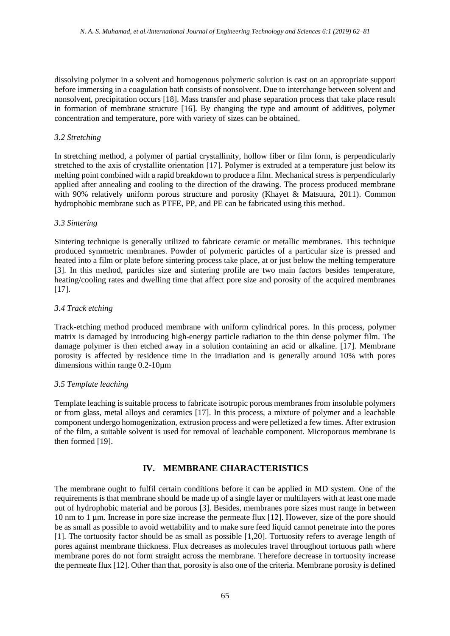dissolving polymer in a solvent and homogenous polymeric solution is cast on an appropriate support before immersing in a coagulation bath consists of nonsolvent. Due to interchange between solvent and nonsolvent, precipitation occurs [18]. Mass transfer and phase separation process that take place result in formation of membrane structure [16]. By changing the type and amount of additives, polymer concentration and temperature, pore with variety of sizes can be obtained.

#### *3.2 Stretching*

In stretching method, a polymer of partial crystallinity, hollow fiber or film form, is perpendicularly stretched to the axis of crystallite orientation [17]. Polymer is extruded at a temperature just below its melting point combined with a rapid breakdown to produce a film. Mechanical stress is perpendicularly applied after annealing and cooling to the direction of the drawing. The process produced membrane with 90% relatively uniform porous structure and porosity (Khayet & Matsuura, 2011). Common hydrophobic membrane such as PTFE, PP, and PE can be fabricated using this method.

#### *3.3 Sintering*

Sintering technique is generally utilized to fabricate ceramic or metallic membranes. This technique produced symmetric membranes. Powder of polymeric particles of a particular size is pressed and heated into a film or plate before sintering process take place, at or just below the melting temperature [3]. In this method, particles size and sintering profile are two main factors besides temperature, heating/cooling rates and dwelling time that affect pore size and porosity of the acquired membranes [17].

#### *3.4 Track etching*

Track-etching method produced membrane with uniform cylindrical pores. In this process, polymer matrix is damaged by introducing high-energy particle radiation to the thin dense polymer film. The damage polymer is then etched away in a solution containing an acid or alkaline. [17]. Membrane porosity is affected by residence time in the irradiation and is generally around 10% with pores dimensions within range 0.2-10µm

#### *3.5 Template leaching*

Template leaching is suitable process to fabricate isotropic porous membranes from insoluble polymers or from glass, metal alloys and ceramics [17]. In this process, a mixture of polymer and a leachable component undergo homogenization, extrusion process and were pelletized a few times. After extrusion of the film, a suitable solvent is used for removal of leachable component. Microporous membrane is then formed [19].

# **IV. MEMBRANE CHARACTERISTICS**

The membrane ought to fulfil certain conditions before it can be applied in MD system. One of the requirements is that membrane should be made up of a single layer or multilayers with at least one made out of hydrophobic material and be porous [3]. Besides, membranes pore sizes must range in between 10 nm to 1 µm. Increase in pore size increase the permeate flux [12]. However, size of the pore should be as small as possible to avoid wettability and to make sure feed liquid cannot penetrate into the pores [1]. The tortuosity factor should be as small as possible [1,20]. Tortuosity refers to average length of pores against membrane thickness. Flux decreases as molecules travel throughout tortuous path where membrane pores do not form straight across the membrane. Therefore decrease in tortuosity increase the permeate flux [12]. Other than that, porosity is also one of the criteria. Membrane porosity is defined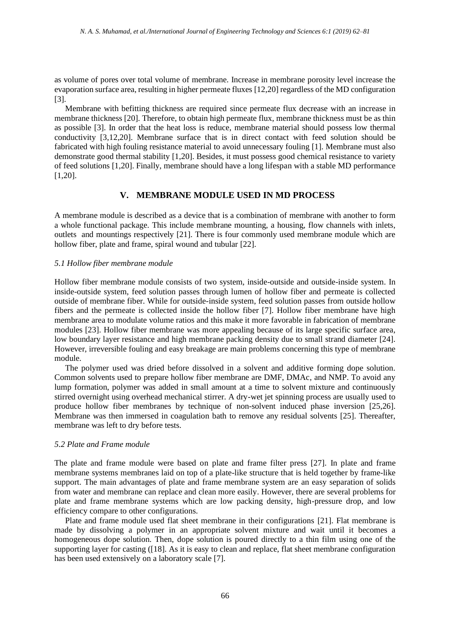as volume of pores over total volume of membrane. Increase in membrane porosity level increase the evaporation surface area, resulting in higher permeate fluxes [12,20] regardless of the MD configuration [3].

Membrane with befitting thickness are required since permeate flux decrease with an increase in membrane thickness [20]. Therefore, to obtain high permeate flux, membrane thickness must be as thin as possible [3]. In order that the heat loss is reduce, membrane material should possess low thermal conductivity [3,12,20]. Membrane surface that is in direct contact with feed solution should be fabricated with high fouling resistance material to avoid unnecessary fouling [1]. Membrane must also demonstrate good thermal stability [1,20]. Besides, it must possess good chemical resistance to variety of feed solutions [1,20]. Finally, membrane should have a long lifespan with a stable MD performance [1,20].

## **V. MEMBRANE MODULE USED IN MD PROCESS**

A membrane module is described as a device that is a combination of membrane with another to form a whole functional package. This include membrane mounting, a housing, flow channels with inlets, outlets and mountings respectively [21]. There is four commonly used membrane module which are hollow fiber, plate and frame, spiral wound and tubular [22].

#### *5.1 Hollow fiber membrane module*

Hollow fiber membrane module consists of two system, inside-outside and outside-inside system. In inside-outside system, feed solution passes through lumen of hollow fiber and permeate is collected outside of membrane fiber. While for outside-inside system, feed solution passes from outside hollow fibers and the permeate is collected inside the hollow fiber [7]. Hollow fiber membrane have high membrane area to modulate volume ratios and this make it more favorable in fabrication of membrane modules [23]. Hollow fiber membrane was more appealing because of its large specific surface area, low boundary layer resistance and high membrane packing density due to small strand diameter [24]. However, irreversible fouling and easy breakage are main problems concerning this type of membrane module.

The polymer used was dried before dissolved in a solvent and additive forming dope solution. Common solvents used to prepare hollow fiber membrane are DMF, DMAc, and NMP. To avoid any lump formation, polymer was added in small amount at a time to solvent mixture and continuously stirred overnight using overhead mechanical stirrer. A dry-wet jet spinning process are usually used to produce hollow fiber membranes by technique of non-solvent induced phase inversion [25,26]. Membrane was then immersed in coagulation bath to remove any residual solvents [25]. Thereafter, membrane was left to dry before tests.

#### *5.2 Plate and Frame module*

The plate and frame module were based on plate and frame filter press [27]. In plate and frame membrane systems membranes laid on top of a plate-like structure that is held together by frame-like support. The main advantages of plate and frame membrane system are an easy separation of solids from water and membrane can replace and clean more easily. However, there are several problems for plate and frame membrane systems which are low packing density, high-pressure drop, and low efficiency compare to other configurations.

Plate and frame module used flat sheet membrane in their configurations [21]. Flat membrane is made by dissolving a polymer in an appropriate solvent mixture and wait until it becomes a homogeneous dope solution. Then, dope solution is poured directly to a thin film using one of the supporting layer for casting ([18]. As it is easy to clean and replace, flat sheet membrane configuration has been used extensively on a laboratory scale [7].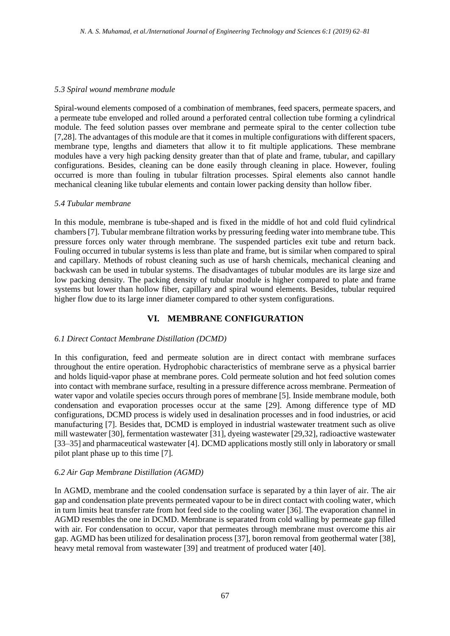#### *5.3 Spiral wound membrane module*

Spiral-wound elements composed of a combination of membranes, feed spacers, permeate spacers, and a permeate tube enveloped and rolled around a perforated central collection tube forming a cylindrical module. The feed solution passes over membrane and permeate spiral to the center collection tube [7,28]. The advantages of this module are that it comes in multiple configurations with different spacers, membrane type, lengths and diameters that allow it to fit multiple applications. These membrane modules have a very high packing density greater than that of plate and frame, tubular, and capillary configurations. Besides, cleaning can be done easily through cleaning in place. However, fouling occurred is more than fouling in tubular filtration processes. Spiral elements also cannot handle mechanical cleaning like tubular elements and contain lower packing density than hollow fiber.

#### *5.4 Tubular membrane*

In this module, membrane is tube-shaped and is fixed in the middle of hot and cold fluid cylindrical chambers [7]. Tubular membrane filtration works by pressuring feeding water into membrane tube. This pressure forces only water through membrane. The suspended particles exit tube and return back. Fouling occurred in tubular systems is less than plate and frame, but is similar when compared to spiral and capillary. Methods of robust cleaning such as use of harsh chemicals, mechanical cleaning and backwash can be used in tubular systems. The disadvantages of tubular modules are its large size and low packing density. The packing density of tubular module is higher compared to plate and frame systems but lower than hollow fiber, capillary and spiral wound elements. Besides, tubular required higher flow due to its large inner diameter compared to other system configurations.

# **VI. MEMBRANE CONFIGURATION**

#### *6.1 Direct Contact Membrane Distillation (DCMD)*

In this configuration, feed and permeate solution are in direct contact with membrane surfaces throughout the entire operation. Hydrophobic characteristics of membrane serve as a physical barrier and holds liquid-vapor phase at membrane pores. Cold permeate solution and hot feed solution comes into contact with membrane surface, resulting in a pressure difference across membrane. Permeation of water vapor and volatile species occurs through pores of membrane [5]. Inside membrane module, both condensation and evaporation processes occur at the same [29]. Among difference type of MD configurations, DCMD process is widely used in desalination processes and in food industries, or acid manufacturing [7]. Besides that, DCMD is employed in industrial wastewater treatment such as olive mill wastewater [30], fermentation wastewater [31], dyeing wastewater [29,32], radioactive wastewater [33–35] and pharmaceutical wastewater [4]. DCMD applications mostly still only in laboratory or small pilot plant phase up to this time [7].

#### *6.2 Air Gap Membrane Distillation (AGMD)*

In AGMD, membrane and the cooled condensation surface is separated by a thin layer of air. The air gap and condensation plate prevents permeated vapour to be in direct contact with cooling water, which in turn limits heat transfer rate from hot feed side to the cooling water [36]. The evaporation channel in AGMD resembles the one in DCMD. Membrane is separated from cold walling by permeate gap filled with air. For condensation to occur, vapor that permeates through membrane must overcome this air gap. AGMD has been utilized for desalination process [37], boron removal from geothermal water [38], heavy metal removal from wastewater [39] and treatment of produced water [40].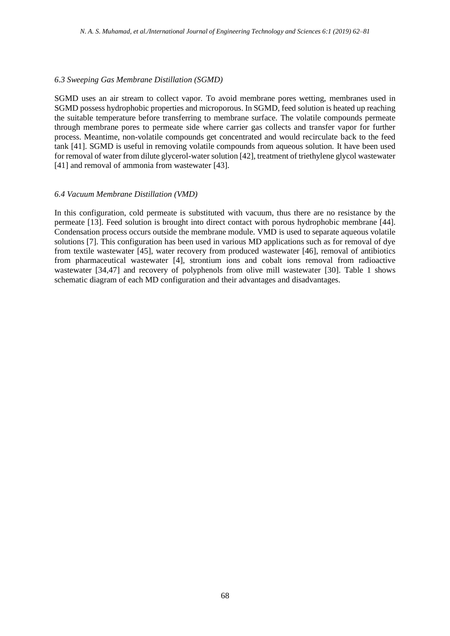#### *6.3 Sweeping Gas Membrane Distillation (SGMD)*

SGMD uses an air stream to collect vapor. To avoid membrane pores wetting, membranes used in SGMD possess hydrophobic properties and microporous. In SGMD, feed solution is heated up reaching the suitable temperature before transferring to membrane surface. The volatile compounds permeate through membrane pores to permeate side where carrier gas collects and transfer vapor for further process. Meantime, non-volatile compounds get concentrated and would recirculate back to the feed tank [41]. SGMD is useful in removing volatile compounds from aqueous solution. It have been used for removal of water from dilute glycerol-water solution [42], treatment of triethylene glycol wastewater [41] and removal of ammonia from wastewater [43].

#### *6.4 Vacuum Membrane Distillation (VMD)*

In this configuration, cold permeate is substituted with vacuum, thus there are no resistance by the permeate [13]. Feed solution is brought into direct contact with porous hydrophobic membrane [44]. Condensation process occurs outside the membrane module. VMD is used to separate aqueous volatile solutions [7]. This configuration has been used in various MD applications such as for removal of dye from textile wastewater [45], water recovery from produced wastewater [46], removal of antibiotics from pharmaceutical wastewater [4], strontium ions and cobalt ions removal from radioactive wastewater [34,47] and recovery of polyphenols from olive mill wastewater [30]. Table 1 shows schematic diagram of each MD configuration and their advantages and disadvantages.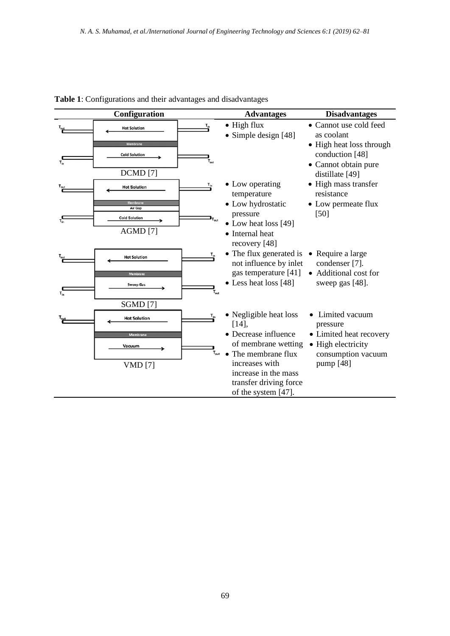|          | Configuration                                                  |                  | <b>Advantages</b>                                                                         | <b>Disadvantages</b>                                                                |
|----------|----------------------------------------------------------------|------------------|-------------------------------------------------------------------------------------------|-------------------------------------------------------------------------------------|
|          | <b>Hot Solution</b><br><b>Membrane</b><br><b>Cold Solution</b> | $T_{in}$         | $\bullet$ High flux<br>Simple design [48]                                                 | • Cannot use cold feed<br>as coolant<br>• High heat loss through<br>conduction [48] |
| $T_{in}$ | <b>DCMD</b> [7]                                                | $T_{\text{out}}$ |                                                                                           | • Cannot obtain pure<br>distillate [49]                                             |
|          | <b>Hot Solution</b><br>Membrane                                | $T_{in}$         | • Low operating<br>temperature                                                            | • High mass transfer<br>resistance                                                  |
|          | Air Gap<br><b>Cold Solution</b><br>AGMD [7]                    |                  | • Low hydrostatic<br>pressure<br>• Low heat loss [49]<br>• Internal heat<br>recovery [48] | • Low permeate flux<br>$[50]$                                                       |
|          | <b>Hot Solution</b><br>Membrane                                |                  | • The flux generated is<br>not influence by inlet<br>gas temperature [41]                 | • Require a large<br>condenser [7].<br>• Additional cost for                        |
|          | <b>Sweep Gas</b>                                               |                  | Less heat loss [48]                                                                       | sweep gas [48].                                                                     |
|          | <b>SGMD</b> [7]<br><b>Hot Solution</b>                         |                  | • Negligible heat loss<br>[14]                                                            | Limited vacuum<br>pressure                                                          |
|          | Membrane<br>Vacuum                                             |                  | • Decrease influence<br>of membrane wetting<br>The membrane flux                          | • Limited heat recovery<br>• High electricity<br>consumption vacuum                 |
|          | <b>VMD</b> [7]                                                 |                  | increases with<br>increase in the mass<br>transfer driving force<br>of the system [47].   | pump [48]                                                                           |

# **Table 1**: Configurations and their advantages and disadvantages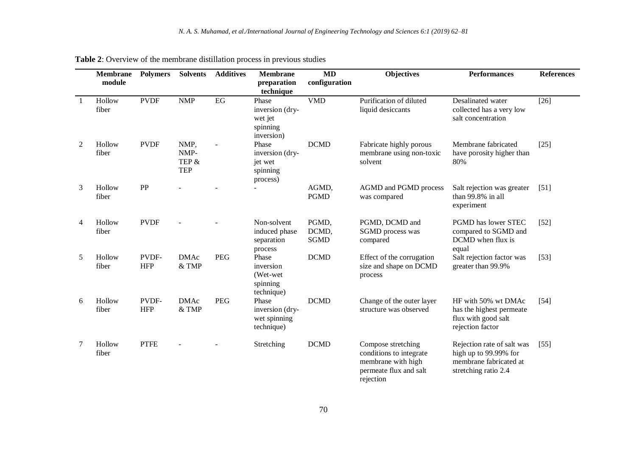|                | <b>Membrane</b><br>module | <b>Polymers</b>     | <b>Solvents</b>                     | <b>Additives</b> | <b>Membrane</b><br>preparation<br>technique                   | $\overline{\bf MD}$<br>configuration | <b>Objectives</b>                                                                                          | <b>Performances</b>                                                                                   | <b>References</b> |
|----------------|---------------------------|---------------------|-------------------------------------|------------------|---------------------------------------------------------------|--------------------------------------|------------------------------------------------------------------------------------------------------------|-------------------------------------------------------------------------------------------------------|-------------------|
| $\overline{1}$ | Hollow<br>fiber           | <b>PVDF</b>         | <b>NMP</b>                          | EG               | Phase<br>inversion (dry-<br>wet jet<br>spinning<br>inversion) | <b>VMD</b>                           | Purification of diluted<br>liquid desiccants                                                               | Desalinated water<br>collected has a very low<br>salt concentration                                   | $[26]$            |
| 2              | Hollow<br>fiber           | <b>PVDF</b>         | NMP,<br>NMP-<br>TEP &<br><b>TEP</b> |                  | Phase<br>inversion (dry-<br>jet wet<br>spinning<br>process)   | <b>DCMD</b>                          | Fabricate highly porous<br>membrane using non-toxic<br>solvent                                             | Membrane fabricated<br>have porosity higher than<br>80%                                               | $[25]$            |
| 3              | Hollow<br>fiber           | PP                  |                                     |                  |                                                               | AGMD,<br><b>PGMD</b>                 | AGMD and PGMD process<br>was compared                                                                      | Salt rejection was greater<br>than 99.8% in all<br>experiment                                         | $[51]$            |
| 4              | Hollow<br>fiber           | <b>PVDF</b>         |                                     |                  | Non-solvent<br>induced phase<br>separation<br>process         | PGMD,<br>DCMD,<br><b>SGMD</b>        | PGMD, DCMD and<br>SGMD process was<br>compared                                                             | PGMD has lower STEC<br>compared to SGMD and<br>DCMD when flux is<br>equal                             | $[52]$            |
| 5              | Hollow<br>fiber           | PVDF-<br><b>HFP</b> | <b>DMAc</b><br>& TMP                | <b>PEG</b>       | Phase<br>inversion<br>(Wet-wet)<br>spinning<br>technique)     | <b>DCMD</b>                          | Effect of the corrugation<br>size and shape on DCMD<br>process                                             | Salt rejection factor was<br>greater than 99.9%                                                       | $[53]$            |
| 6              | Hollow<br>fiber           | PVDF-<br><b>HFP</b> | <b>DMAc</b><br>& TMP                | <b>PEG</b>       | Phase<br>inversion (dry-<br>wet spinning<br>technique)        | <b>DCMD</b>                          | Change of the outer layer<br>structure was observed                                                        | HF with 50% wt DMAc<br>has the highest permeate<br>flux with good salt<br>rejection factor            | $[54]$            |
| 7              | Hollow<br>fiber           | <b>PTFE</b>         |                                     |                  | Stretching                                                    | <b>DCMD</b>                          | Compose stretching<br>conditions to integrate<br>membrane with high<br>permeate flux and salt<br>rejection | Rejection rate of salt was<br>high up to 99.99% for<br>membrane fabricated at<br>stretching ratio 2.4 | $[55]$            |

**Table 2**: Overview of the membrane distillation process in previous studies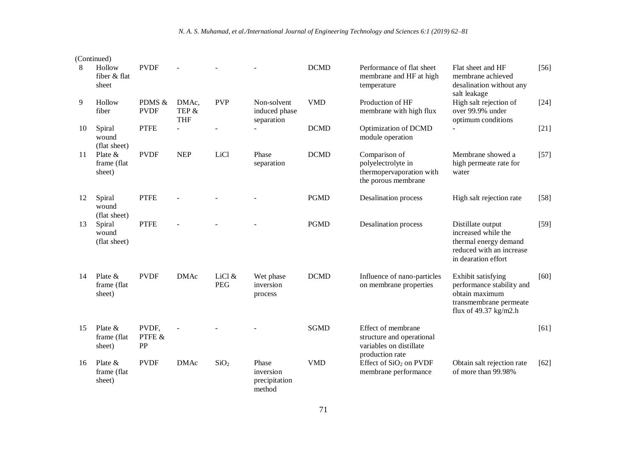|    | (Continued)                        |                       |                              |                      |                                               |             |                                                                                               |                                                                                                                        |        |
|----|------------------------------------|-----------------------|------------------------------|----------------------|-----------------------------------------------|-------------|-----------------------------------------------------------------------------------------------|------------------------------------------------------------------------------------------------------------------------|--------|
| 8  | Hollow<br>fiber & flat<br>sheet    | <b>PVDF</b>           |                              |                      |                                               | <b>DCMD</b> | Performance of flat sheet<br>membrane and HF at high<br>temperature                           | Flat sheet and HF<br>membrane achieved<br>desalination without any<br>salt leakage                                     | $[56]$ |
| 9  | Hollow<br>fiber                    | PDMS &<br><b>PVDF</b> | DMAc,<br>TEP &<br><b>THF</b> | <b>PVP</b>           | Non-solvent<br>induced phase<br>separation    | <b>VMD</b>  | Production of HF<br>membrane with high flux                                                   | High salt rejection of<br>over 99.9% under<br>optimum conditions                                                       | $[24]$ |
| 10 | Spiral<br>wound<br>(flat sheet)    | <b>PTFE</b>           | $\overline{\phantom{a}}$     |                      | $\overline{a}$                                | <b>DCMD</b> | Optimization of DCMD<br>module operation                                                      | $\blacksquare$                                                                                                         | $[21]$ |
| 11 | Plate $&$<br>frame (flat<br>sheet) | <b>PVDF</b>           | <b>NEP</b>                   | LiCl                 | Phase<br>separation                           | <b>DCMD</b> | Comparison of<br>polyelectrolyte in<br>thermopervaporation with<br>the porous membrane        | Membrane showed a<br>high permeate rate for<br>water                                                                   | $[57]$ |
| 12 | Spiral<br>wound<br>(flat sheet)    | <b>PTFE</b>           |                              |                      |                                               | <b>PGMD</b> | <b>Desalination</b> process                                                                   | High salt rejection rate                                                                                               | $[58]$ |
| 13 | Spiral<br>wound<br>(flat sheet)    | <b>PTFE</b>           |                              |                      |                                               | <b>PGMD</b> | <b>Desalination</b> process                                                                   | Distillate output<br>increased while the<br>thermal energy demand<br>reduced with an increase<br>in dearation effort   | $[59]$ |
| 14 | Plate $&$<br>frame (flat<br>sheet) | <b>PVDF</b>           | <b>DMAc</b>                  | LiCl &<br><b>PEG</b> | Wet phase<br>inversion<br>process             | <b>DCMD</b> | Influence of nano-particles<br>on membrane properties                                         | Exhibit satisfying<br>performance stability and<br>obtain maximum<br>transmembrane permeate<br>flux of $49.37$ kg/m2.h | [60]   |
| 15 | Plate $&$<br>frame (flat<br>sheet) | PVDF,<br>PTFE &<br>PP |                              |                      |                                               | <b>SGMD</b> | Effect of membrane<br>structure and operational<br>variables on distillate<br>production rate |                                                                                                                        | [61]   |
| 16 | Plate $&$<br>frame (flat<br>sheet) | <b>PVDF</b>           | <b>DMAc</b>                  | SiO <sub>2</sub>     | Phase<br>inversion<br>precipitation<br>method | <b>VMD</b>  | Effect of SiO <sub>2</sub> on PVDF<br>membrane performance                                    | Obtain salt rejection rate<br>of more than 99.98%                                                                      | $[62]$ |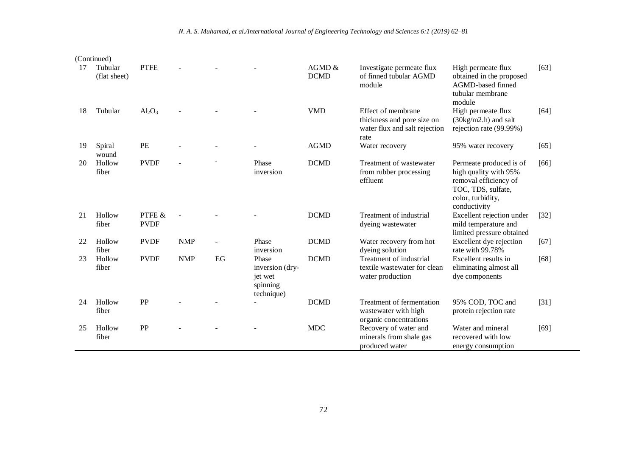| 17 | Tubular<br>(flat sheet) | <b>PTFE</b>           |            |      |                                                               | AGMD &<br><b>DCMD</b> | Investigate permeate flux<br>of finned tubular AGMD<br>module                             | High permeate flux<br>obtained in the proposed<br>AGMD-based finned<br>tubular membrane<br>module                                    | [63]   |
|----|-------------------------|-----------------------|------------|------|---------------------------------------------------------------|-----------------------|-------------------------------------------------------------------------------------------|--------------------------------------------------------------------------------------------------------------------------------------|--------|
| 18 | Tubular                 | $Al_2O_3$             |            |      |                                                               | <b>VMD</b>            | Effect of membrane<br>thickness and pore size on<br>water flux and salt rejection<br>rate | High permeate flux<br>$(30\text{kg/m2.h})$ and salt<br>rejection rate (99.99%)                                                       | [64]   |
| 19 | Spiral<br>wound         | PE                    |            |      |                                                               | <b>AGMD</b>           | Water recovery                                                                            | 95% water recovery                                                                                                                   | [65]   |
| 20 | Hollow<br>fiber         | <b>PVDF</b>           |            |      | Phase<br>inversion                                            | <b>DCMD</b>           | Treatment of wastewater<br>from rubber processing<br>effluent                             | Permeate produced is of<br>high quality with 95%<br>removal efficiency of<br>TOC, TDS, sulfate,<br>color, turbidity,<br>conductivity | [66]   |
| 21 | Hollow<br>fiber         | PTFE &<br><b>PVDF</b> |            |      |                                                               | <b>DCMD</b>           | Treatment of industrial<br>dyeing wastewater                                              | Excellent rejection under<br>mild temperature and<br>limited pressure obtained                                                       | $[32]$ |
| 22 | Hollow<br>fiber         | <b>PVDF</b>           | <b>NMP</b> |      | Phase<br>inversion                                            | <b>DCMD</b>           | Water recovery from hot<br>dyeing solution                                                | Excellent dye rejection<br>rate with 99.78%                                                                                          | [67]   |
| 23 | Hollow<br>fiber         | <b>PVDF</b>           | <b>NMP</b> | $EG$ | Phase<br>inversion (dry-<br>jet wet<br>spinning<br>technique) | <b>DCMD</b>           | Treatment of industrial<br>textile wastewater for clean<br>water production               | Excellent results in<br>eliminating almost all<br>dye components                                                                     | [68]   |
| 24 | Hollow<br>fiber         | PP                    |            |      |                                                               | <b>DCMD</b>           | Treatment of fermentation<br>wastewater with high<br>organic concentrations               | 95% COD, TOC and<br>protein rejection rate                                                                                           | $[31]$ |
| 25 | Hollow<br>fiber         | PP                    |            |      |                                                               | <b>MDC</b>            | Recovery of water and<br>minerals from shale gas<br>produced water                        | Water and mineral<br>recovered with low<br>energy consumption                                                                        | $[69]$ |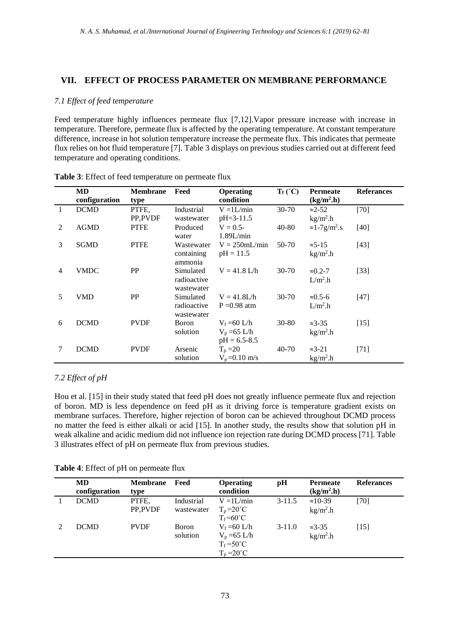# **VII. EFFECT OF PROCESS PARAMETER ON MEMBRANE PERFORMANCE**

## *7.1 Effect of feed temperature*

Feed temperature highly influences permeate flux [7,12].Vapor pressure increase with increase in temperature. Therefore, permeate flux is affected by the operating temperature. At constant temperature difference, increase in hot solution temperature increase the permeate flux. This indicates that permeate flux relies on hot fluid temperature [7]. Table 3 displays on previous studies carried out at different feed temperature and operating conditions.

|   | <b>MD</b>     | <b>Membrane</b> | Feed        | <b>Operating</b> | $T_f (^{\circ}C)$ | <b>Permeate</b>                   | <b>Referances</b> |
|---|---------------|-----------------|-------------|------------------|-------------------|-----------------------------------|-------------------|
|   | configuration | type            |             | condition        |                   | $(kg/m2 \cdot h)$                 |                   |
| 1 | <b>DCMD</b>   | PTFE,           | Industrial  | $V = 1L/min$     | $30 - 70$         | $\approx$ 2-52                    | $[70]$            |
|   |               | PP,PVDF         | wastewater  | $pH = 3-11.5$    |                   | $kg/m2$ .h                        |                   |
| 2 | <b>AGMD</b>   | <b>PTFE</b>     | Produced    | $V = 0.5 -$      | $40 - 80$         | $\approx 1-7$ g/m <sup>2</sup> .s | $[40]$            |
|   |               |                 | water       | 1.89L/min        |                   |                                   |                   |
| 3 | <b>SGMD</b>   | <b>PTFE</b>     | Wastewater  | $V = 250$ mL/min | 50-70             | $\approx$ 5-15                    | $[43]$            |
|   |               |                 | containing  | $pH = 11.5$      |                   | $kg/m2$ .h                        |                   |
|   |               |                 | ammonia     |                  |                   |                                   |                   |
| 4 | <b>VMDC</b>   | PP              | Simulated   | $V = 41.8$ L/h   | $30 - 70$         | $\approx 0.2 - 7$                 | $[33]$            |
|   |               |                 | radioactive |                  |                   | $L/m2$ .h                         |                   |
|   |               |                 | wastewater  |                  |                   |                                   |                   |
| 5 | VMD           | PP              | Simulated   | $V = 41.8 L/h$   | $30 - 70$         | $\approx 0.5 - 6$                 | [47]              |
|   |               |                 | radioactive | $P = 0.98$ atm   |                   | $L/m2$ .h                         |                   |
|   |               |                 | wastewater  |                  |                   |                                   |                   |
| 6 | <b>DCMD</b>   | <b>PVDF</b>     | Boron       | $V_f = 60$ L/h   | $30 - 80$         | $\approx$ 3-35                    | $[15]$            |
|   |               |                 | solution    | $V_p = 65$ L/h   |                   | $kg/m2$ .h                        |                   |
|   |               |                 |             | $pH = 6.5 - 8.5$ |                   |                                   |                   |
| 7 | <b>DCMD</b>   | <b>PVDF</b>     | Arsenic     | $T_p = 20$       | 40-70             | $\approx$ 3-21                    | $[71]$            |
|   |               |                 | solution    | $V_p = 0.10$ m/s |                   | $kg/m2$ .h                        |                   |

| Table 3: Effect of feed temperature on permeate flux |
|------------------------------------------------------|
|------------------------------------------------------|

# *7.2 Effect of pH*

Hou et al. [15] in their study stated that feed pH does not greatly influence permeate flux and rejection of boron. MD is less dependence on feed pH as it driving force is temperature gradient exists on membrane surfaces. Therefore, higher rejection of boron can be achieved throughout DCMD process no matter the feed is either alkali or acid [15]. In another study, the results show that solution pH in weak alkaline and acidic medium did not influence ion rejection rate during DCMD process [71]. Table 3 illustrates effect of pH on permeate flux from previous studies.

| Table 4: Effect of pH on permeate flux |  |  |
|----------------------------------------|--|--|
|----------------------------------------|--|--|

| MD.<br>configuration | <b>Membrane</b><br>type | Feed                     | <b>Operating</b><br>condition                                                  | pH         | <b>Permeate</b><br>$(kg/m2 \cdot h)$ | <b>Referances</b> |
|----------------------|-------------------------|--------------------------|--------------------------------------------------------------------------------|------------|--------------------------------------|-------------------|
| <b>DCMD</b>          | PTFE,<br>PP.PVDF        | Industrial<br>wastewater | $V = 1L/min$<br>$T_p = 20^{\circ}C$<br>$T_f = 60^{\circ}C$                     | $3 - 11.5$ | $\approx 10 - 39$<br>$kg/m2$ .h      | [70]              |
| <b>DCMD</b>          | <b>PVDF</b>             | Boron<br>solution        | $V_f = 60$ L/h<br>$V_p = 65$ L/h<br>$T_f = 50^{\circ}C$<br>$T_p = 20^{\circ}C$ | $3-11.0$   | $\approx$ 3-35<br>$kg/m2$ .h         | [15]              |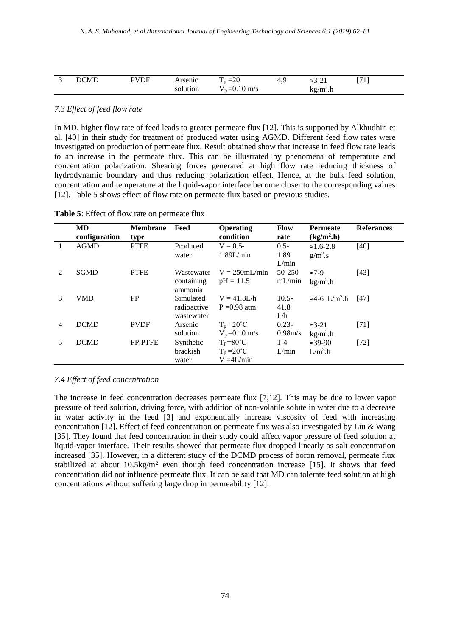|     |         |                             |                           |               |                                        | 57.43                    |
|-----|---------|-----------------------------|---------------------------|---------------|----------------------------------------|--------------------------|
| . . | M<br>n. | $\sim$ $\sim$ $\sim$ $\sim$ | $\sim$<br>$-$<br>ں ۔<br>- | . .<br>-<br>. | -<br>~<br>~<br>$\sim$ $\sim$<br>$\sim$ | $\overline{\phantom{a}}$ |
|     |         | .                           | HV S                      |               | $^{\prime}$ m<br>$\ddotsc$<br>         |                          |

#### *7.3 Effect of feed flow rate*

In MD, higher flow rate of feed leads to greater permeate flux [12]. This is supported by Alkhudhiri et al. [40] in their study for treatment of produced water using AGMD. Different feed flow rates were investigated on production of permeate flux. Result obtained show that increase in feed flow rate leads to an increase in the permeate flux. This can be illustrated by phenomena of temperature and concentration polarization. Shearing forces generated at high flow rate reducing thickness of hydrodynamic boundary and thus reducing polarization effect. Hence, at the bulk feed solution, concentration and temperature at the liquid-vapor interface become closer to the corresponding values [12]. Table 5 shows effect of flow rate on permeate flux based on previous studies.

|                | MD<br>configuration | <b>Membrane</b><br>type | Feed                                   | <b>Operating</b><br>condition                              | <b>Flow</b><br>rate      | <b>Permeate</b><br>(kg/m <sup>2</sup> .h) | <b>Referances</b> |
|----------------|---------------------|-------------------------|----------------------------------------|------------------------------------------------------------|--------------------------|-------------------------------------------|-------------------|
|                | <b>AGMD</b>         | <b>PTFE</b>             | Produced<br>water                      | $V = 0.5 -$<br>1.89L/min                                   | $0.5 -$<br>1.89<br>L/min | $\approx 1.6 - 2.8$<br>$g/m^2$ .s         | [40]              |
| $\mathfrak{D}$ | <b>SGMD</b>         | <b>PTFE</b>             | Wastewater<br>containing<br>ammonia    | $V = 250$ mL/min<br>$pH = 11.5$                            | 50-250<br>mL/min         | $\approx 7-9$<br>$kg/m2$ .h               | [43]              |
| 3              | <b>VMD</b>          | <b>PP</b>               | Simulated<br>radioactive<br>wastewater | $V = 41.8 L/h$<br>$P = 0.98$ atm                           | $10.5 -$<br>41.8<br>L/h  | $\approx 4-6$ L/m <sup>2</sup> .h         | [47]              |
| 4              | <b>DCMD</b>         | <b>PVDF</b>             | Arsenic<br>solution                    | $T_p = 20^{\circ}C$<br>$V_p = 0.10$ m/s                    | $0.23 -$<br>0.98m/s      | $\approx$ 3-21<br>$kg/m2$ .h              | $[71]$            |
| 5              | <b>DCMD</b>         | PP.PTFE                 | Synthetic<br>brackish<br>water         | $T_f = 80^{\circ}C$<br>$T_p = 20^{\circ}C$<br>$V = 4L/min$ | $1 - 4$<br>L/min         | $\approx 39 - 90$<br>$L/m2$ .h            | $[72]$            |

**Table 5**: Effect of flow rate on permeate flux

# *7.4 Effect of feed concentration*

The increase in feed concentration decreases permeate flux [7,12]. This may be due to lower vapor pressure of feed solution, driving force, with addition of non-volatile solute in water due to a decrease in water activity in the feed [3] and exponentially increase viscosity of feed with increasing concentration [12]. Effect of feed concentration on permeate flux was also investigated by Liu & Wang [35]. They found that feed concentration in their study could affect vapor pressure of feed solution at liquid-vapor interface. Their results showed that permeate flux dropped linearly as salt concentration increased [35]. However, in a different study of the DCMD process of boron removal, permeate flux stabilized at about  $10.5 \text{kg/m}^2$  even though feed concentration increase [15]. It shows that feed concentration did not influence permeate flux. It can be said that MD can tolerate feed solution at high concentrations without suffering large drop in permeability [12].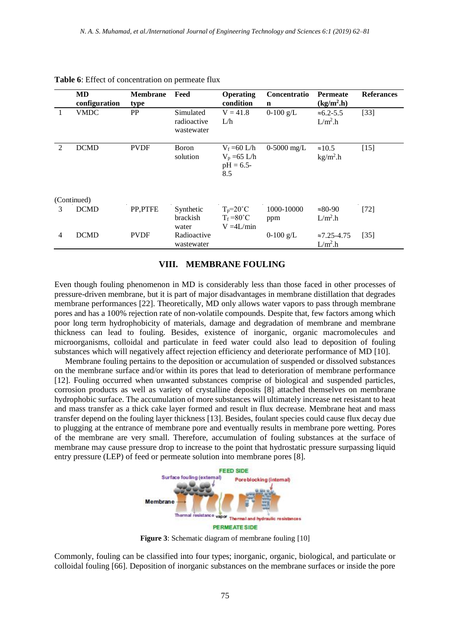|                | <b>MD</b><br>configuration | <b>Membrane</b><br>type | Feed                                   | <b>Operating</b><br>condition                              | Concentratio<br>$\mathbf n$ | <b>Permeate</b><br>$(kg/m2 \cdot h)$ | <b>Referances</b> |
|----------------|----------------------------|-------------------------|----------------------------------------|------------------------------------------------------------|-----------------------------|--------------------------------------|-------------------|
| 1              | <b>VMDC</b>                | PP                      | Simulated<br>radioactive<br>wastewater | $V = 41.8$<br>L/h                                          | $0-100$ g/L                 | $≈6.2-5.5$<br>$L/m2$ .h              | $[33]$            |
| 2              | <b>DCMD</b>                | <b>PVDF</b>             | <b>B</b> oron<br>solution              | $V_f = 60$ L/h<br>$V_p = 65$ L/h<br>$pH = 6.5$ -<br>8.5    | $0-5000$ mg/L               | $\approx 10.5$<br>$kg/m2$ .h         | $[15]$            |
|                | (Continued)                |                         |                                        |                                                            |                             |                                      |                   |
| 3              | <b>DCMD</b>                | PP,PTFE                 | Synthetic<br><b>brackish</b><br>water  | $T_p = 20^{\circ}C$<br>$T_f = 80^{\circ}C$<br>$V = 4L/min$ | 1000-10000<br>ppm           | $\approx 80-90$<br>$L/m2$ .h         | $[72]$            |
| $\overline{4}$ | <b>DCMD</b>                | <b>PVDF</b>             | Radioactive<br>wastewater              |                                                            | $0-100$ g/L                 | $\approx 7.25 - 4.75$<br>$L/m2$ .h   | $[35]$            |

| Table 6: Effect of concentration on permeate flux |
|---------------------------------------------------|
|---------------------------------------------------|

#### **VIII. MEMBRANE FOULING**

Even though fouling phenomenon in MD is considerably less than those faced in other processes of pressure-driven membrane, but it is part of major disadvantages in membrane distillation that degrades membrane performances [22]. Theoretically, MD only allows water vapors to pass through membrane pores and has a 100% rejection rate of non-volatile compounds. Despite that, few factors among which poor long term hydrophobicity of materials, damage and degradation of membrane and membrane thickness can lead to fouling. Besides, existence of inorganic, organic macromolecules and microorganisms, colloidal and particulate in feed water could also lead to deposition of fouling substances which will negatively affect rejection efficiency and deteriorate performance of MD [10].

Membrane fouling pertains to the deposition or accumulation of suspended or dissolved substances on the membrane surface and/or within its pores that lead to deterioration of membrane performance [12]. Fouling occurred when unwanted substances comprise of biological and suspended particles, corrosion products as well as variety of crystalline deposits [8] attached themselves on membrane hydrophobic surface. The accumulation of more substances will ultimately increase net resistant to heat and mass transfer as a thick cake layer formed and result in flux decrease. Membrane heat and mass transfer depend on the fouling layer thickness [13]. Besides, foulant species could cause flux decay due to plugging at the entrance of membrane pore and eventually results in membrane pore wetting. Pores of the membrane are very small. Therefore, accumulation of fouling substances at the surface of membrane may cause pressure drop to increase to the point that hydrostatic pressure surpassing liquid entry pressure (LEP) of feed or permeate solution into membrane pores [8].



**Figure 3**: Schematic diagram of membrane fouling [10]

Commonly, fouling can be classified into four types; inorganic, organic, biological, and particulate or colloidal fouling [66]. Deposition of inorganic substances on the membrane surfaces or inside the pore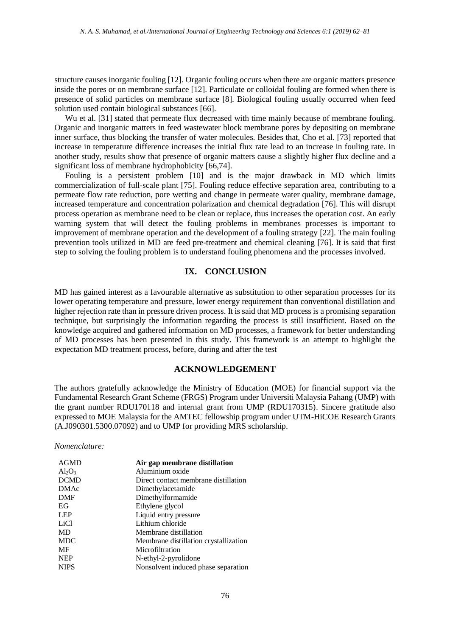structure causes inorganic fouling [12]. Organic fouling occurs when there are organic matters presence inside the pores or on membrane surface [12]. Particulate or colloidal fouling are formed when there is presence of solid particles on membrane surface [8]. Biological fouling usually occurred when feed solution used contain biological substances [66].

Wu et al. [31] stated that permeate flux decreased with time mainly because of membrane fouling. Organic and inorganic matters in feed wastewater block membrane pores by depositing on membrane inner surface, thus blocking the transfer of water molecules. Besides that, Cho et al. [73] reported that increase in temperature difference increases the initial flux rate lead to an increase in fouling rate. In another study, results show that presence of organic matters cause a slightly higher flux decline and a significant loss of membrane hydrophobicity [66,74].

Fouling is a persistent problem [10] and is the major drawback in MD which limits commercialization of full-scale plant [75]. Fouling reduce effective separation area, contributing to a permeate flow rate reduction, pore wetting and change in permeate water quality, membrane damage, increased temperature and concentration polarization and chemical degradation [76]. This will disrupt process operation as membrane need to be clean or replace, thus increases the operation cost. An early warning system that will detect the fouling problems in membranes processes is important to improvement of membrane operation and the development of a fouling strategy [22]. The main fouling prevention tools utilized in MD are feed pre-treatment and chemical cleaning [76]. It is said that first step to solving the fouling problem is to understand fouling phenomena and the processes involved.

# **IX. CONCLUSION**

MD has gained interest as a favourable alternative as substitution to other separation processes for its lower operating temperature and pressure, lower energy requirement than conventional distillation and higher rejection rate than in pressure driven process. It is said that MD process is a promising separation technique, but surprisingly the information regarding the process is still insufficient. Based on the knowledge acquired and gathered information on MD processes, a framework for better understanding of MD processes has been presented in this study. This framework is an attempt to highlight the expectation MD treatment process, before, during and after the test

#### **ACKNOWLEDGEMENT**

The authors gratefully acknowledge the Ministry of Education (MOE) for financial support via the Fundamental Research Grant Scheme (FRGS) Program under Universiti Malaysia Pahang (UMP) with the grant number RDU170118 and internal grant from UMP (RDU170315). Sincere gratitude also expressed to MOE Malaysia for the AMTEC fellowship program under UTM-HiCOE Research Grants (A.J090301.5300.07092) and to UMP for providing MRS scholarship.

*Nomenclature:*

| <b>AGMD</b> | Air gap membrane distillation         |
|-------------|---------------------------------------|
| $Al_2O_3$   | Aluminium oxide                       |
| <b>DCMD</b> | Direct contact membrane distillation  |
| <b>DMAc</b> | Dimethylacetamide                     |
| <b>DMF</b>  | Dimethylformamide                     |
| EG          | Ethylene glycol                       |
| <b>LEP</b>  | Liquid entry pressure                 |
| LiCl        | Lithium chloride                      |
| <b>MD</b>   | Membrane distillation                 |
| <b>MDC</b>  | Membrane distillation crystallization |
| MF          | Microfiltration                       |
| <b>NEP</b>  | N-ethyl-2-pyrolidone                  |
| <b>NIPS</b> | Nonsolvent induced phase separation   |
|             |                                       |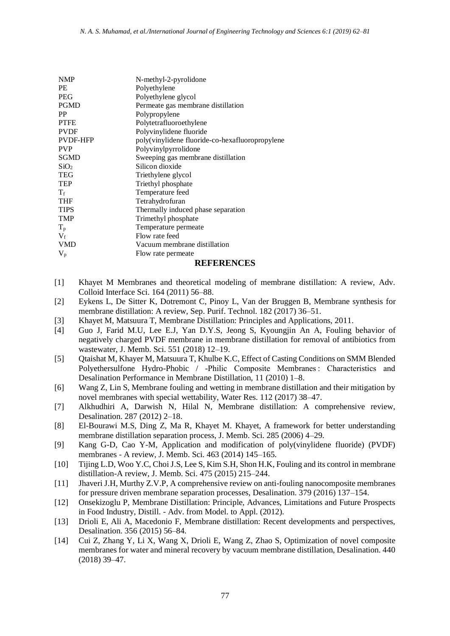| N-methyl-2-pyrolidone                           |
|-------------------------------------------------|
| Polyethylene                                    |
| Polyethylene glycol                             |
| Permeate gas membrane distillation              |
| Polypropylene                                   |
| Polytetrafluoroethylene                         |
| Polyvinylidene fluoride                         |
| poly(vinylidene fluoride-co-hexafluoropropylene |
| Polyvinylpyrrolidone                            |
| Sweeping gas membrane distillation              |
| Silicon dioxide                                 |
| Triethylene glycol                              |
| Triethyl phosphate                              |
| Temperature feed                                |
| Tetrahydrofuran                                 |
| Thermally induced phase separation              |
| Trimethyl phosphate                             |
| Temperature permeate                            |
| Flow rate feed                                  |
| Vacuum membrane distillation                    |
| Flow rate permeate                              |
|                                                 |

#### **REFERENCES**

- [1] Khayet M Membranes and theoretical modeling of membrane distillation: A review, Adv. Colloid Interface Sci. 164 (2011) 56–88.
- [2] Eykens L, De Sitter K, Dotremont C, Pinoy L, Van der Bruggen B, Membrane synthesis for membrane distillation: A review, Sep. Purif. Technol. 182 (2017) 36–51.
- [3] Khayet M, Matsuura T, Membrane Distillation: Principles and Applications, 2011.
- [4] Guo J, Farid M.U, Lee E.J, Yan D.Y.S, Jeong S, Kyoungjin An A, Fouling behavior of negatively charged PVDF membrane in membrane distillation for removal of antibiotics from wastewater, J. Memb. Sci. 551 (2018) 12–19.
- [5] Qtaishat M, Khayer M, Matsuura T, Khulbe K.C, Effect of Casting Conditions on SMM Blended Polyethersulfone Hydro-Phobic / -Philic Composite Membranes : Characteristics and Desalination Performance in Membrane Distillation, 11 (2010) 1–8.
- [6] Wang Z, Lin S, Membrane fouling and wetting in membrane distillation and their mitigation by novel membranes with special wettability, Water Res. 112 (2017) 38–47.
- [7] Alkhudhiri A, Darwish N, Hilal N, Membrane distillation: A comprehensive review, Desalination. 287 (2012) 2–18.
- [8] El-Bourawi M.S, Ding Z, Ma R, Khayet M. Khayet, A framework for better understanding membrane distillation separation process, J. Memb. Sci. 285 (2006) 4–29.
- [9] Kang G-D, Cao Y-M, Application and modification of poly(vinylidene fluoride) (PVDF) membranes - A review, J. Memb. Sci. 463 (2014) 145–165.
- [10] Tijing L.D, Woo Y.C, Choi J.S, Lee S, Kim S.H, Shon H.K, Fouling and its control in membrane distillation-A review, J. Memb. Sci. 475 (2015) 215–244.
- [11] Jhaveri J.H, Murthy Z.V.P, A comprehensive review on anti-fouling nanocomposite membranes for pressure driven membrane separation processes, Desalination. 379 (2016) 137–154.
- [12] Onsekizoglu P, Membrane Distillation: Principle, Advances, Limitations and Future Prospects in Food Industry, Distill. - Adv. from Model. to Appl. (2012).
- [13] Drioli E, Ali A, Macedonio F, Membrane distillation: Recent developments and perspectives, Desalination. 356 (2015) 56–84.
- [14] Cui Z, Zhang Y, Li X, Wang X, Drioli E, Wang Z, Zhao S, Optimization of novel composite membranes for water and mineral recovery by vacuum membrane distillation, Desalination. 440 (2018) 39–47.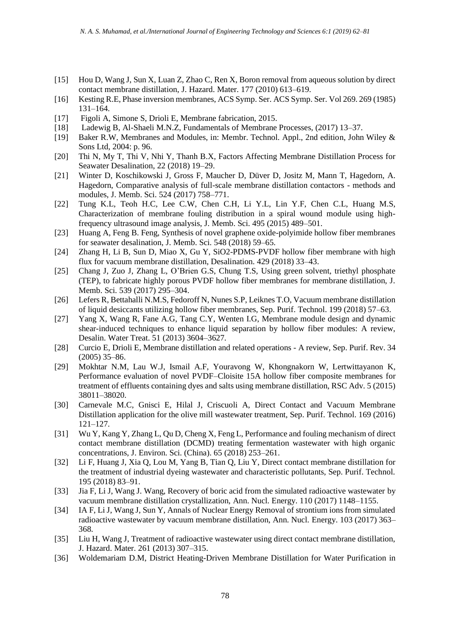- [15] Hou D, Wang J, Sun X, Luan Z, Zhao C, Ren X, Boron removal from aqueous solution by direct contact membrane distillation, J. Hazard. Mater. 177 (2010) 613–619.
- [16] Kesting R.E, Phase inversion membranes, ACS Symp. Ser. ACS Symp. Ser. Vol 269. 269 (1985) 131–164.
- [17] Figoli A, Simone S, Drioli E, Membrane fabrication, 2015.
- [18] Ladewig B, Al-Shaeli M.N.Z, Fundamentals of Membrane Processes, (2017) 13–37.
- [19] Baker R.W, Membranes and Modules, in: Membr. Technol. Appl., 2nd edition, John Wiley & Sons Ltd, 2004: p. 96.
- [20] Thi N, My T, Thi V, Nhi Y, Thanh B.X, Factors Affecting Membrane Distillation Process for Seawater Desalination, 22 (2018) 19–29.
- [21] Winter D, Koschikowski J, Gross F, Maucher D, Düver D, Jositz M, Mann T, Hagedorn, A. Hagedorn, Comparative analysis of full-scale membrane distillation contactors - methods and modules, J. Memb. Sci. 524 (2017) 758–771.
- [22] Tung K.L, Teoh H.C, Lee C.W, Chen C.H, Li Y.L, Lin Y.F, Chen C.L, Huang M.S, Characterization of membrane fouling distribution in a spiral wound module using highfrequency ultrasound image analysis, J. Memb. Sci. 495 (2015) 489–501.
- [23] Huang A, Feng B. Feng, Synthesis of novel graphene oxide-polyimide hollow fiber membranes for seawater desalination, J. Memb. Sci. 548 (2018) 59–65.
- [24] Zhang H, Li B, Sun D, Miao X, Gu Y, SiO2-PDMS-PVDF hollow fiber membrane with high flux for vacuum membrane distillation, Desalination. 429 (2018) 33–43.
- [25] Chang J, Zuo J, Zhang L, O'Brien G.S, Chung T.S, Using green solvent, triethyl phosphate (TEP), to fabricate highly porous PVDF hollow fiber membranes for membrane distillation, J. Memb. Sci. 539 (2017) 295–304.
- [26] Lefers R, Bettahalli N.M.S, Fedoroff N, Nunes S.P, Leiknes T.O, Vacuum membrane distillation of liquid desiccants utilizing hollow fiber membranes, Sep. Purif. Technol. 199 (2018) 57–63.
- [27] Yang X, Wang R, Fane A.G, Tang C.Y, Wenten I.G, Membrane module design and dynamic shear-induced techniques to enhance liquid separation by hollow fiber modules: A review, Desalin. Water Treat. 51 (2013) 3604–3627.
- [28] Curcio E, Drioli E, Membrane distillation and related operations A review, Sep. Purif. Rev. 34 (2005) 35–86.
- [29] Mokhtar N.M, Lau W.J, Ismail A.F, Youravong W, Khongnakorn W, Lertwittayanon K, Performance evaluation of novel PVDF–Cloisite 15A hollow fiber composite membranes for treatment of effluents containing dyes and salts using membrane distillation, RSC Adv. 5 (2015) 38011–38020.
- [30] Carnevale M.C, Gnisci E, Hilal J, Criscuoli A, Direct Contact and Vacuum Membrane Distillation application for the olive mill wastewater treatment, Sep. Purif. Technol. 169 (2016) 121–127.
- [31] Wu Y, Kang Y, Zhang L, Qu D, Cheng X, Feng L, Performance and fouling mechanism of direct contact membrane distillation (DCMD) treating fermentation wastewater with high organic concentrations, J. Environ. Sci. (China). 65 (2018) 253–261.
- [32] Li F, Huang J, Xia Q, Lou M, Yang B, Tian Q, Liu Y, Direct contact membrane distillation for the treatment of industrial dyeing wastewater and characteristic pollutants, Sep. Purif. Technol. 195 (2018) 83–91.
- [33] Jia F, Li J, Wang J. Wang, Recovery of boric acid from the simulated radioactive wastewater by vacuum membrane distillation crystallization, Ann. Nucl. Energy. 110 (2017) 1148–1155.
- [34] IA F, Li J, Wang J, Sun Y, Annals of Nuclear Energy Removal of strontium ions from simulated radioactive wastewater by vacuum membrane distillation, Ann. Nucl. Energy. 103 (2017) 363– 368.
- [35] Liu H, Wang J, Treatment of radioactive wastewater using direct contact membrane distillation, J. Hazard. Mater. 261 (2013) 307–315.
- [36] Woldemariam D.M, District Heating-Driven Membrane Distillation for Water Purification in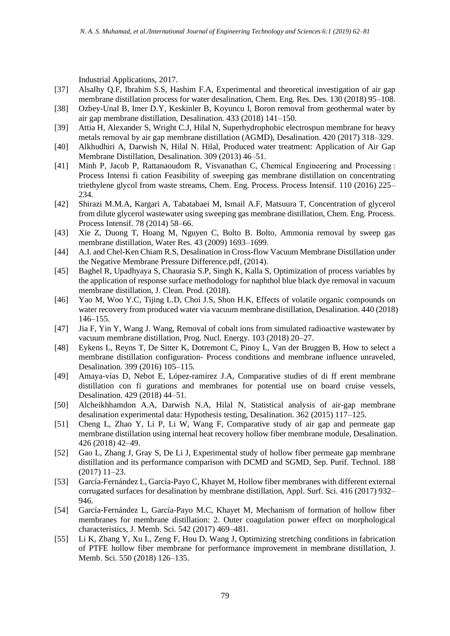Industrial Applications, 2017.

- [37] Alsalhy Q.F, Ibrahim S.S, Hashim F.A, Experimental and theoretical investigation of air gap membrane distillation process for water desalination, Chem. Eng. Res. Des. 130 (2018) 95–108.
- [38] Ozbey-Unal B, Imer D.Y, Keskinler B, Koyuncu I, Boron removal from geothermal water by air gap membrane distillation, Desalination. 433 (2018) 141–150.
- [39] Attia H, Alexander S, Wright C.J, Hilal N, Superhydrophobic electrospun membrane for heavy metals removal by air gap membrane distillation (AGMD), Desalination. 420 (2017) 318–329.
- [40] Alkhudhiri A, Darwish N, Hilal N. Hilal, Produced water treatment: Application of Air Gap Membrane Distillation, Desalination. 309 (2013) 46–51.
- [41] Minh P, Jacob P, Rattanaoudom R, Visvanathan C, Chemical Engineering and Processing : Process Intensi fi cation Feasibility of sweeping gas membrane distillation on concentrating triethylene glycol from waste streams, Chem. Eng. Process. Process Intensif. 110 (2016) 225– 234.
- [42] Shirazi M.M.A, Kargari A, Tabatabaei M, Ismail A.F, Matsuura T, Concentration of glycerol from dilute glycerol wastewater using sweeping gas membrane distillation, Chem. Eng. Process. Process Intensif. 78 (2014) 58–66.
- [43] Xie Z, Duong T, Hoang M, Nguyen C, Bolto B. Bolto, Ammonia removal by sweep gas membrane distillation, Water Res. 43 (2009) 1693–1699.
- [44] A.I. and Chel-Ken Chiam R.S, Desalination in Cross-flow Vacuum Membrane Distillation under the Negative Membrane Pressure Difference.pdf, (2014).
- [45] Baghel R, Upadhyaya S, Chaurasia S.P, Singh K, Kalla S, Optimization of process variables by the application of response surface methodology for naphthol blue black dye removal in vacuum membrane distillation, J. Clean. Prod. (2018).
- [46] Yao M, Woo Y.C, Tijing L.D, Choi J.S, Shon H.K, Effects of volatile organic compounds on water recovery from produced water via vacuum membrane distillation, Desalination. 440 (2018) 146–155.
- [47] Jia F, Yin Y, Wang J. Wang, Removal of cobalt ions from simulated radioactive wastewater by vacuum membrane distillation, Prog. Nucl. Energy. 103 (2018) 20–27.
- [48] Eykens L, Reyns T, De Sitter K, Dotremont C, Pinoy L, Van der Bruggen B, How to select a membrane distillation configuration- Process conditions and membrane influence unraveled, Desalination. 399 (2016) 105–115.
- [49] Amaya-vías D, Nebot E, López-ramírez J.A, Comparative studies of di ff erent membrane distillation con fi gurations and membranes for potential use on board cruise vessels, Desalination. 429 (2018) 44–51.
- [50] Alcheikhhamdon A.A, Darwish N.A, Hilal N, Statistical analysis of air-gap membrane desalination experimental data: Hypothesis testing, Desalination. 362 (2015) 117–125.
- [51] Cheng L, Zhao Y, Li P, Li W, Wang F, Comparative study of air gap and permeate gap membrane distillation using internal heat recovery hollow fiber membrane module, Desalination. 426 (2018) 42–49.
- [52] Gao L, Zhang J, Gray S, De Li J, Experimental study of hollow fiber permeate gap membrane distillation and its performance comparison with DCMD and SGMD, Sep. Purif. Technol. 188 (2017) 11–23.
- [53] García-Fernández L, García-Payo C, Khayet M, Hollow fiber membranes with different external corrugated surfaces for desalination by membrane distillation, Appl. Surf. Sci. 416 (2017) 932– 946.
- [54] García-Fernández L, García-Payo M.C, Khayet M, Mechanism of formation of hollow fiber membranes for membrane distillation: 2. Outer coagulation power effect on morphological characteristics, J. Memb. Sci. 542 (2017) 469–481.
- [55] Li K, Zhang Y, Xu L, Zeng F, Hou D, Wang J, Optimizing stretching conditions in fabrication of PTFE hollow fiber membrane for performance improvement in membrane distillation, J. Memb. Sci. 550 (2018) 126–135.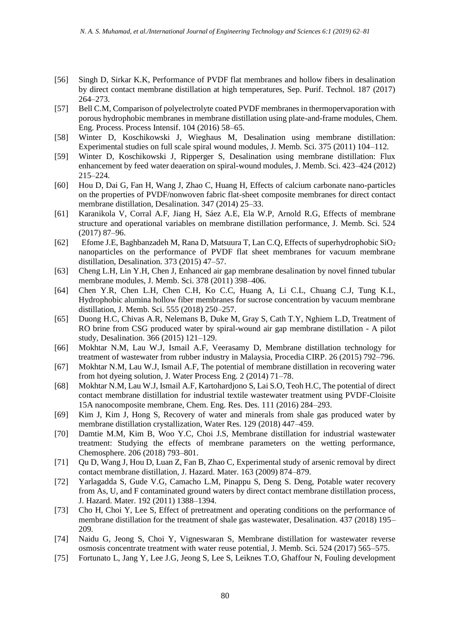- [56] Singh D, Sirkar K.K, Performance of PVDF flat membranes and hollow fibers in desalination by direct contact membrane distillation at high temperatures, Sep. Purif. Technol. 187 (2017) 264–273.
- [57] Bell C.M, Comparison of polyelectrolyte coated PVDF membranes in thermopervaporation with porous hydrophobic membranes in membrane distillation using plate-and-frame modules, Chem. Eng. Process. Process Intensif. 104 (2016) 58–65.
- [58] Winter D, Koschikowski J, Wieghaus M, Desalination using membrane distillation: Experimental studies on full scale spiral wound modules, J. Memb. Sci. 375 (2011) 104–112.
- [59] Winter D, Koschikowski J, Ripperger S, Desalination using membrane distillation: Flux enhancement by feed water deaeration on spiral-wound modules, J. Memb. Sci. 423–424 (2012) 215–224.
- [60] Hou D, Dai G, Fan H, Wang J, Zhao C, Huang H, Effects of calcium carbonate nano-particles on the properties of PVDF/nonwoven fabric flat-sheet composite membranes for direct contact membrane distillation, Desalination. 347 (2014) 25–33.
- [61] Karanikola V, Corral A.F, Jiang H, Sáez A.E, Ela W.P, Arnold R.G, Effects of membrane structure and operational variables on membrane distillation performance, J. Memb. Sci. 524 (2017) 87–96.
- [62] Efome J.E, Baghbanzadeh M, Rana D, Matsuura T, Lan C.Q, Effects of superhydrophobic SiO<sup>2</sup> nanoparticles on the performance of PVDF flat sheet membranes for vacuum membrane distillation, Desalination. 373 (2015) 47–57.
- [63] Cheng L.H, Lin Y.H, Chen J, Enhanced air gap membrane desalination by novel finned tubular membrane modules, J. Memb. Sci. 378 (2011) 398–406.
- [64] Chen Y.R, Chen L.H, Chen C.H, Ko C.C, Huang A, Li C.L, Chuang C.J, Tung K.L, Hydrophobic alumina hollow fiber membranes for sucrose concentration by vacuum membrane distillation, J. Memb. Sci. 555 (2018) 250–257.
- [65] Duong H.C, Chivas A.R, Nelemans B, Duke M, Gray S, Cath T.Y, Nghiem L.D, Treatment of RO brine from CSG produced water by spiral-wound air gap membrane distillation - A pilot study, Desalination. 366 (2015) 121–129.
- [66] Mokhtar N.M, Lau W.J, Ismail A.F, Veerasamy D, Membrane distillation technology for treatment of wastewater from rubber industry in Malaysia, Procedia CIRP. 26 (2015) 792–796.
- [67] Mokhtar N.M, Lau W.J, Ismail A.F, The potential of membrane distillation in recovering water from hot dyeing solution, J. Water Process Eng. 2 (2014) 71–78.
- [68] Mokhtar N.M, Lau W.J, Ismail A.F, Kartohardjono S, Lai S.O, Teoh H.C, The potential of direct contact membrane distillation for industrial textile wastewater treatment using PVDF-Cloisite 15A nanocomposite membrane, Chem. Eng. Res. Des. 111 (2016) 284–293.
- [69] Kim J, Kim J, Hong S, Recovery of water and minerals from shale gas produced water by membrane distillation crystallization, Water Res. 129 (2018) 447–459.
- [70] Damtie M.M, Kim B, Woo Y.C, Choi J.S, Membrane distillation for industrial wastewater treatment: Studying the effects of membrane parameters on the wetting performance, Chemosphere. 206 (2018) 793–801.
- [71] Qu D, Wang J, Hou D, Luan Z, Fan B, Zhao C, Experimental study of arsenic removal by direct contact membrane distillation, J. Hazard. Mater. 163 (2009) 874–879.
- [72] Yarlagadda S, Gude V.G, Camacho L.M, Pinappu S, Deng S. Deng, Potable water recovery from As, U, and F contaminated ground waters by direct contact membrane distillation process, J. Hazard. Mater. 192 (2011) 1388–1394.
- [73] Cho H, Choi Y, Lee S, Effect of pretreatment and operating conditions on the performance of membrane distillation for the treatment of shale gas wastewater, Desalination. 437 (2018) 195– 209.
- [74] Naidu G, Jeong S, Choi Y, Vigneswaran S, Membrane distillation for wastewater reverse osmosis concentrate treatment with water reuse potential, J. Memb. Sci. 524 (2017) 565–575.
- [75] Fortunato L, Jang Y, Lee J.G, Jeong S, Lee S, Leiknes T.O, Ghaffour N, Fouling development